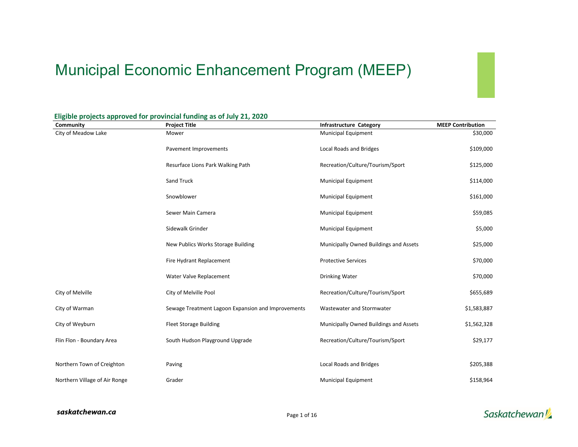# Municipal Economic Enhancement Program (MEEP)

| Community                     | <b>Project Title</b>                               | <b>Infrastructure Category</b>         | <b>MEEP Contribution</b> |
|-------------------------------|----------------------------------------------------|----------------------------------------|--------------------------|
| City of Meadow Lake           | Mower                                              | <b>Municipal Equipment</b>             | \$30,000                 |
|                               | Pavement Improvements                              | Local Roads and Bridges                | \$109,000                |
|                               | Resurface Lions Park Walking Path                  | Recreation/Culture/Tourism/Sport       | \$125,000                |
|                               | Sand Truck                                         | Municipal Equipment                    | \$114,000                |
|                               | Snowblower                                         | Municipal Equipment                    | \$161,000                |
|                               | Sewer Main Camera                                  | <b>Municipal Equipment</b>             | \$59,085                 |
|                               | Sidewalk Grinder                                   | Municipal Equipment                    | \$5,000                  |
|                               | New Publics Works Storage Building                 | Municipally Owned Buildings and Assets | \$25,000                 |
|                               | Fire Hydrant Replacement                           | <b>Protective Services</b>             | \$70,000                 |
|                               | Water Valve Replacement                            | <b>Drinking Water</b>                  | \$70,000                 |
| City of Melville              | City of Melville Pool                              | Recreation/Culture/Tourism/Sport       | \$655,689                |
| City of Warman                | Sewage Treatment Lagoon Expansion and Improvements | Wastewater and Stormwater              | \$1,583,887              |
| City of Weyburn               | <b>Fleet Storage Building</b>                      | Municipally Owned Buildings and Assets | \$1,562,328              |
| Flin Flon - Boundary Area     | South Hudson Playground Upgrade                    | Recreation/Culture/Tourism/Sport       | \$29,177                 |
|                               |                                                    |                                        |                          |
| Northern Town of Creighton    | Paving                                             | Local Roads and Bridges                | \$205,388                |
| Northern Village of Air Ronge | Grader                                             | <b>Municipal Equipment</b>             | \$158,964                |

#### **Eligible projects approved for provincial funding as of July 21, 2020**

#### saskatchewan.ca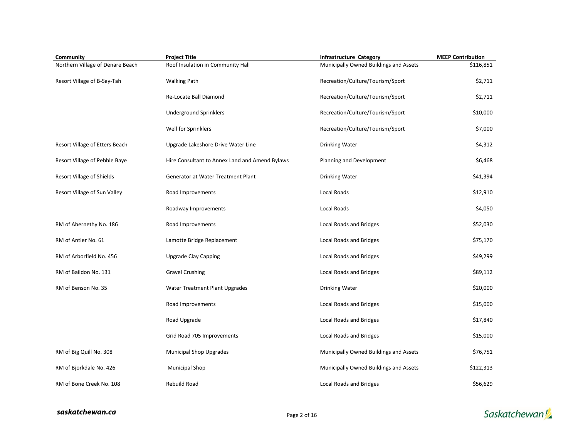| Community                        | <b>Project Title</b>                           | <b>Infrastructure Category</b>         | <b>MEEP Contribution</b> |
|----------------------------------|------------------------------------------------|----------------------------------------|--------------------------|
| Northern Village of Denare Beach | Roof Insulation in Community Hall              | Municipally Owned Buildings and Assets | \$116,851                |
| Resort Village of B-Say-Tah      | <b>Walking Path</b>                            | Recreation/Culture/Tourism/Sport       | \$2,711                  |
|                                  | Re-Locate Ball Diamond                         | Recreation/Culture/Tourism/Sport       | \$2,711                  |
|                                  | <b>Underground Sprinklers</b>                  | Recreation/Culture/Tourism/Sport       | \$10,000                 |
|                                  | Well for Sprinklers                            | Recreation/Culture/Tourism/Sport       | \$7,000                  |
| Resort Village of Etters Beach   | Upgrade Lakeshore Drive Water Line             | Drinking Water                         | \$4,312                  |
| Resort Village of Pebble Baye    | Hire Consultant to Annex Land and Amend Bylaws | Planning and Development               | \$6,468                  |
| Resort Village of Shields        | Generator at Water Treatment Plant             | Drinking Water                         | \$41,394                 |
| Resort Village of Sun Valley     | Road Improvements                              | Local Roads                            | \$12,910                 |
|                                  | Roadway Improvements                           | Local Roads                            | \$4,050                  |
| RM of Abernethy No. 186          | Road Improvements                              | Local Roads and Bridges                | \$52,030                 |
| RM of Antler No. 61              | Lamotte Bridge Replacement                     | Local Roads and Bridges                | \$75,170                 |
| RM of Arborfield No. 456         | <b>Upgrade Clay Capping</b>                    | Local Roads and Bridges                | \$49,299                 |
| RM of Baildon No. 131            | <b>Gravel Crushing</b>                         | Local Roads and Bridges                | \$89,112                 |
| RM of Benson No. 35              | Water Treatment Plant Upgrades                 | Drinking Water                         | \$20,000                 |
|                                  | Road Improvements                              | Local Roads and Bridges                | \$15,000                 |
|                                  | Road Upgrade                                   | Local Roads and Bridges                | \$17,840                 |
|                                  | Grid Road 705 Improvements                     | Local Roads and Bridges                | \$15,000                 |
| RM of Big Quill No. 308          | <b>Municipal Shop Upgrades</b>                 | Municipally Owned Buildings and Assets | \$76,751                 |
| RM of Bjorkdale No. 426          | <b>Municipal Shop</b>                          | Municipally Owned Buildings and Assets | \$122,313                |
| RM of Bone Creek No. 108         | <b>Rebuild Road</b>                            | Local Roads and Bridges                | \$56,629                 |

saskatchewan.ca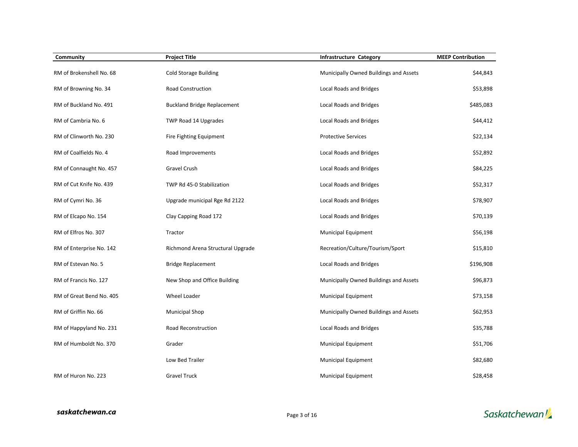| Community                | <b>Project Title</b>               | <b>Infrastructure Category</b>         | <b>MEEP Contribution</b> |
|--------------------------|------------------------------------|----------------------------------------|--------------------------|
| RM of Brokenshell No. 68 | <b>Cold Storage Building</b>       | Municipally Owned Buildings and Assets | \$44,843                 |
| RM of Browning No. 34    | <b>Road Construction</b>           | Local Roads and Bridges                | \$53,898                 |
| RM of Buckland No. 491   | <b>Buckland Bridge Replacement</b> | <b>Local Roads and Bridges</b>         | \$485,083                |
| RM of Cambria No. 6      | TWP Road 14 Upgrades               | Local Roads and Bridges                | \$44,412                 |
| RM of Clinworth No. 230  | Fire Fighting Equipment            | <b>Protective Services</b>             | \$22,134                 |
| RM of Coalfields No. 4   | Road Improvements                  | Local Roads and Bridges                | \$52,892                 |
| RM of Connaught No. 457  | Gravel Crush                       | Local Roads and Bridges                | \$84,225                 |
| RM of Cut Knife No. 439  | TWP Rd 45-0 Stabilization          | Local Roads and Bridges                | \$52,317                 |
| RM of Cymri No. 36       | Upgrade municipal Rge Rd 2122      | Local Roads and Bridges                | \$78,907                 |
| RM of Elcapo No. 154     | Clay Capping Road 172              | Local Roads and Bridges                | \$70,139                 |
| RM of Elfros No. 307     | Tractor                            | <b>Municipal Equipment</b>             | \$56,198                 |
| RM of Enterprise No. 142 | Richmond Arena Structural Upgrade  | Recreation/Culture/Tourism/Sport       | \$15,810                 |
| RM of Estevan No. 5      | <b>Bridge Replacement</b>          | Local Roads and Bridges                | \$196,908                |
| RM of Francis No. 127    | New Shop and Office Building       | Municipally Owned Buildings and Assets | \$96,873                 |
| RM of Great Bend No. 405 | Wheel Loader                       | <b>Municipal Equipment</b>             | \$73,158                 |
| RM of Griffin No. 66     | <b>Municipal Shop</b>              | Municipally Owned Buildings and Assets | \$62,953                 |
| RM of Happyland No. 231  | Road Reconstruction                | Local Roads and Bridges                | \$35,788                 |
| RM of Humboldt No. 370   | Grader                             | <b>Municipal Equipment</b>             | \$51,706                 |
|                          | Low Bed Trailer                    | Municipal Equipment                    | \$82,680                 |
| RM of Huron No. 223      | <b>Gravel Truck</b>                | <b>Municipal Equipment</b>             | \$28,458                 |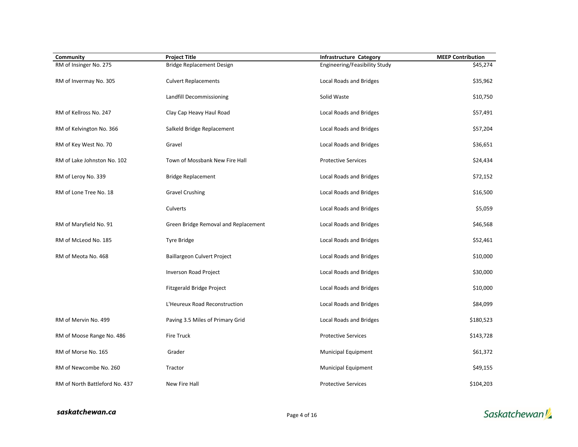| Community                      | <b>Project Title</b>                 | Infrastructure Category       | <b>MEEP Contribution</b> |
|--------------------------------|--------------------------------------|-------------------------------|--------------------------|
| RM of Insinger No. 275         | Bridge Replacement Design            | Engineering/Feasibility Study | \$45,274                 |
| RM of Invermay No. 305         | <b>Culvert Replacements</b>          | Local Roads and Bridges       | \$35,962                 |
|                                | Landfill Decommissioning             | Solid Waste                   | \$10,750                 |
| RM of Kellross No. 247         | Clay Cap Heavy Haul Road             | Local Roads and Bridges       | \$57,491                 |
| RM of Kelvington No. 366       | Salkeld Bridge Replacement           | Local Roads and Bridges       | \$57,204                 |
| RM of Key West No. 70          | Gravel                               | Local Roads and Bridges       | \$36,651                 |
| RM of Lake Johnston No. 102    | Town of Mossbank New Fire Hall       | <b>Protective Services</b>    | \$24,434                 |
| RM of Leroy No. 339            | <b>Bridge Replacement</b>            | Local Roads and Bridges       | \$72,152                 |
| RM of Lone Tree No. 18         | <b>Gravel Crushing</b>               | Local Roads and Bridges       | \$16,500                 |
|                                | Culverts                             | Local Roads and Bridges       | \$5,059                  |
| RM of Maryfield No. 91         | Green Bridge Removal and Replacement | Local Roads and Bridges       | \$46,568                 |
| RM of McLeod No. 185           | <b>Tyre Bridge</b>                   | Local Roads and Bridges       | \$52,461                 |
| RM of Meota No. 468            | Baillargeon Culvert Project          | Local Roads and Bridges       | \$10,000                 |
|                                | <b>Inverson Road Project</b>         | Local Roads and Bridges       | \$30,000                 |
|                                | Fitzgerald Bridge Project            | Local Roads and Bridges       | \$10,000                 |
|                                | L'Heureux Road Reconstruction        | Local Roads and Bridges       | \$84,099                 |
| RM of Mervin No. 499           | Paving 3.5 Miles of Primary Grid     | Local Roads and Bridges       | \$180,523                |
| RM of Moose Range No. 486      | <b>Fire Truck</b>                    | <b>Protective Services</b>    | \$143,728                |
| RM of Morse No. 165            | Grader                               | Municipal Equipment           | \$61,372                 |
| RM of Newcombe No. 260         | Tractor                              | Municipal Equipment           | \$49,155                 |
| RM of North Battleford No. 437 | New Fire Hall                        | <b>Protective Services</b>    | \$104,203                |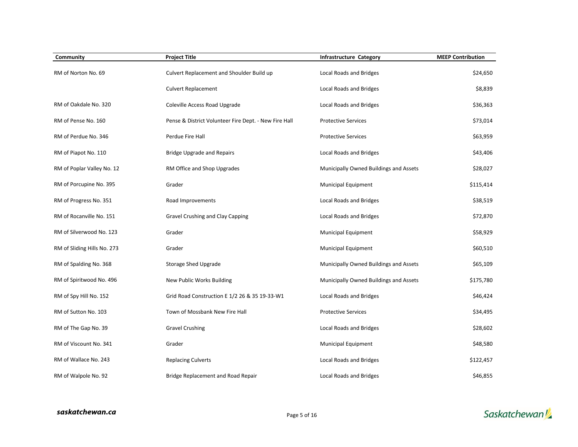| Community                   | <b>Project Title</b>                                  | <b>Infrastructure Category</b>         | <b>MEEP Contribution</b> |
|-----------------------------|-------------------------------------------------------|----------------------------------------|--------------------------|
| RM of Norton No. 69         | Culvert Replacement and Shoulder Build up             | Local Roads and Bridges                | \$24,650                 |
|                             | <b>Culvert Replacement</b>                            | Local Roads and Bridges                | \$8,839                  |
| RM of Oakdale No. 320       | Coleville Access Road Upgrade                         | Local Roads and Bridges                | \$36,363                 |
| RM of Pense No. 160         | Pense & District Volunteer Fire Dept. - New Fire Hall | <b>Protective Services</b>             | \$73,014                 |
| RM of Perdue No. 346        | Perdue Fire Hall                                      | <b>Protective Services</b>             | \$63,959                 |
| RM of Piapot No. 110        | <b>Bridge Upgrade and Repairs</b>                     | Local Roads and Bridges                | \$43,406                 |
| RM of Poplar Valley No. 12  | RM Office and Shop Upgrades                           | Municipally Owned Buildings and Assets | \$28,027                 |
| RM of Porcupine No. 395     | Grader                                                | <b>Municipal Equipment</b>             | \$115,414                |
| RM of Progress No. 351      | Road Improvements                                     | Local Roads and Bridges                | \$38,519                 |
| RM of Rocanville No. 151    | Gravel Crushing and Clay Capping                      | Local Roads and Bridges                | \$72,870                 |
| RM of Silverwood No. 123    | Grader                                                | <b>Municipal Equipment</b>             | \$58,929                 |
| RM of Sliding Hills No. 273 | Grader                                                | <b>Municipal Equipment</b>             | \$60,510                 |
| RM of Spalding No. 368      | Storage Shed Upgrade                                  | Municipally Owned Buildings and Assets | \$65,109                 |
| RM of Spiritwood No. 496    | New Public Works Building                             | Municipally Owned Buildings and Assets | \$175,780                |
| RM of Spy Hill No. 152      | Grid Road Construction E 1/2 26 & 35 19-33-W1         | Local Roads and Bridges                | \$46,424                 |
| RM of Sutton No. 103        | Town of Mossbank New Fire Hall                        | <b>Protective Services</b>             | \$34,495                 |
| RM of The Gap No. 39        | <b>Gravel Crushing</b>                                | Local Roads and Bridges                | \$28,602                 |
| RM of Viscount No. 341      | Grader                                                | <b>Municipal Equipment</b>             | \$48,580                 |
| RM of Wallace No. 243       | <b>Replacing Culverts</b>                             | Local Roads and Bridges                | \$122,457                |
| RM of Walpole No. 92        | Bridge Replacement and Road Repair                    | Local Roads and Bridges                | \$46,855                 |

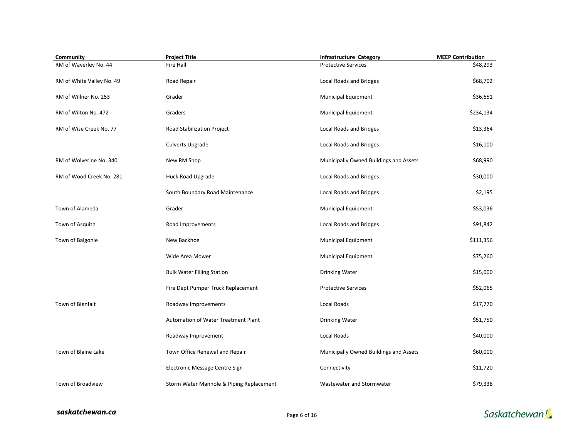| Community                 | <b>Project Title</b>                     | <b>Infrastructure Category</b>         | <b>MEEP Contribution</b> |
|---------------------------|------------------------------------------|----------------------------------------|--------------------------|
| RM of Waverley No. 44     | <b>Fire Hall</b>                         | <b>Protective Services</b>             | \$48,293                 |
| RM of White Valley No. 49 | Road Repair                              | Local Roads and Bridges                | \$68,702                 |
| RM of Willner No. 253     | Grader                                   | Municipal Equipment                    | \$36,651                 |
| RM of Wilton No. 472      | Graders                                  | Municipal Equipment                    | \$234,134                |
| RM of Wise Creek No. 77   | Road Stabilization Project               | Local Roads and Bridges                | \$13,364                 |
|                           | <b>Culverts Upgrade</b>                  | Local Roads and Bridges                | \$16,100                 |
| RM of Wolverine No. 340   | New RM Shop                              | Municipally Owned Buildings and Assets | \$68,990                 |
| RM of Wood Creek No. 281  | Huck Road Upgrade                        | Local Roads and Bridges                | \$30,000                 |
|                           | South Boundary Road Maintenance          | Local Roads and Bridges                | \$2,195                  |
| Town of Alameda           | Grader                                   | Municipal Equipment                    | \$53,036                 |
| Town of Asquith           | Road Improvements                        | Local Roads and Bridges                | \$91,842                 |
| Town of Balgonie          | New Backhoe                              | Municipal Equipment                    | \$111,356                |
|                           | Wide Area Mower                          | <b>Municipal Equipment</b>             | \$75,260                 |
|                           | <b>Bulk Water Filling Station</b>        | Drinking Water                         | \$15,000                 |
|                           | Fire Dept Pumper Truck Replacement       | <b>Protective Services</b>             | \$52,065                 |
| Town of Bienfait          | Roadway Improvements                     | Local Roads                            | \$17,770                 |
|                           | Automation of Water Treatment Plant      | <b>Drinking Water</b>                  | \$51,750                 |
|                           | Roadway Improvement                      | Local Roads                            | \$40,000                 |
| Town of Blaine Lake       | Town Office Renewal and Repair           | Municipally Owned Buildings and Assets | \$60,000                 |
|                           | Electronic Message Centre Sign           | Connectivity                           | \$11,720                 |
| Town of Broadview         | Storm Water Manhole & Piping Replacement | Wastewater and Stormwater              | \$79,338                 |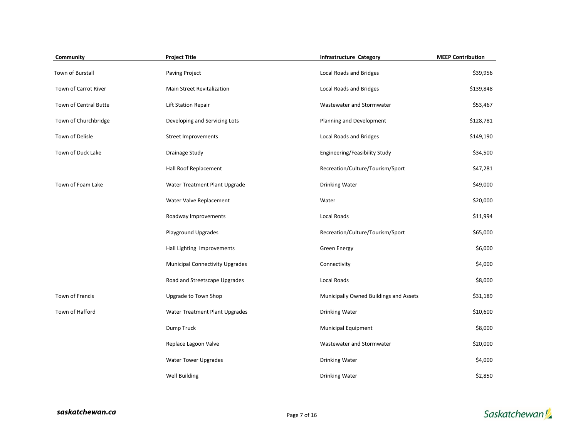| Community             | <b>Project Title</b>                   | Infrastructure Category                | <b>MEEP Contribution</b> |
|-----------------------|----------------------------------------|----------------------------------------|--------------------------|
| Town of Burstall      | Paving Project                         | Local Roads and Bridges                | \$39,956                 |
| Town of Carrot River  | Main Street Revitalization             | Local Roads and Bridges                | \$139,848                |
| Town of Central Butte | Lift Station Repair                    | Wastewater and Stormwater              | \$53,467                 |
| Town of Churchbridge  | Developing and Servicing Lots          | Planning and Development               | \$128,781                |
| Town of Delisle       | Street Improvements                    | Local Roads and Bridges                | \$149,190                |
| Town of Duck Lake     | Drainage Study                         | Engineering/Feasibility Study          | \$34,500                 |
|                       | Hall Roof Replacement                  | Recreation/Culture/Tourism/Sport       | \$47,281                 |
| Town of Foam Lake     | Water Treatment Plant Upgrade          | Drinking Water                         | \$49,000                 |
|                       | Water Valve Replacement                | Water                                  | \$20,000                 |
|                       | Roadway Improvements                   | Local Roads                            | \$11,994                 |
|                       | Playground Upgrades                    | Recreation/Culture/Tourism/Sport       | \$65,000                 |
|                       | Hall Lighting Improvements             | <b>Green Energy</b>                    | \$6,000                  |
|                       | <b>Municipal Connectivity Upgrades</b> | Connectivity                           | \$4,000                  |
|                       | Road and Streetscape Upgrades          | Local Roads                            | \$8,000                  |
| Town of Francis       | Upgrade to Town Shop                   | Municipally Owned Buildings and Assets | \$31,189                 |
| Town of Hafford       | Water Treatment Plant Upgrades         | <b>Drinking Water</b>                  | \$10,600                 |
|                       | Dump Truck                             | Municipal Equipment                    | \$8,000                  |
|                       | Replace Lagoon Valve                   | Wastewater and Stormwater              | \$20,000                 |
|                       | <b>Water Tower Upgrades</b>            | <b>Drinking Water</b>                  | \$4,000                  |
|                       | Well Building                          | <b>Drinking Water</b>                  | \$2,850                  |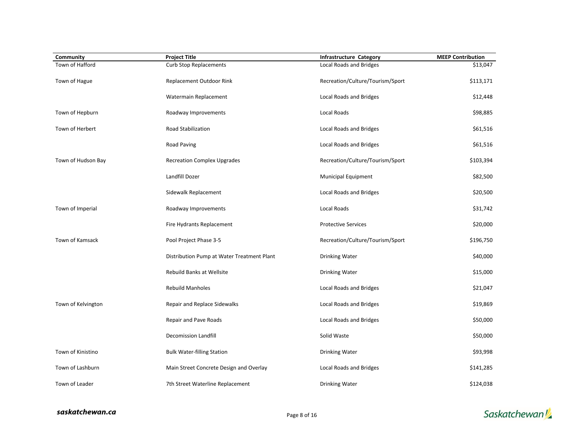| Community          | <b>Project Title</b>                       | <b>Infrastructure Category</b>   | <b>MEEP Contribution</b> |
|--------------------|--------------------------------------------|----------------------------------|--------------------------|
| Town of Hafford    | <b>Curb Stop Replacements</b>              | Local Roads and Bridges          | \$13,047                 |
| Town of Hague      | Replacement Outdoor Rink                   | Recreation/Culture/Tourism/Sport | \$113,171                |
|                    | Watermain Replacement                      | Local Roads and Bridges          | \$12,448                 |
| Town of Hepburn    | Roadway Improvements                       | Local Roads                      | \$98,885                 |
| Town of Herbert    | Road Stabilization                         | Local Roads and Bridges          | \$61,516                 |
|                    | Road Paving                                | Local Roads and Bridges          | \$61,516                 |
| Town of Hudson Bay | <b>Recreation Complex Upgrades</b>         | Recreation/Culture/Tourism/Sport | \$103,394                |
|                    | Landfill Dozer                             | <b>Municipal Equipment</b>       | \$82,500                 |
|                    | Sidewalk Replacement                       | Local Roads and Bridges          | \$20,500                 |
| Town of Imperial   | Roadway Improvements                       | Local Roads                      | \$31,742                 |
|                    | Fire Hydrants Replacement                  | <b>Protective Services</b>       | \$20,000                 |
| Town of Kamsack    | Pool Project Phase 3-5                     | Recreation/Culture/Tourism/Sport | \$196,750                |
|                    | Distribution Pump at Water Treatment Plant | Drinking Water                   | \$40,000                 |
|                    | <b>Rebuild Banks at Wellsite</b>           | Drinking Water                   | \$15,000                 |
|                    | <b>Rebuild Manholes</b>                    | Local Roads and Bridges          | \$21,047                 |
| Town of Kelvington | Repair and Replace Sidewalks               | Local Roads and Bridges          | \$19,869                 |
|                    | Repair and Pave Roads                      | Local Roads and Bridges          | \$50,000                 |
|                    | Decomission Landfill                       | Solid Waste                      | \$50,000                 |
| Town of Kinistino  | <b>Bulk Water-filling Station</b>          | Drinking Water                   | \$93,998                 |
| Town of Lashburn   | Main Street Concrete Design and Overlay    | Local Roads and Bridges          | \$141,285                |
| Town of Leader     | 7th Street Waterline Replacement           | <b>Drinking Water</b>            | \$124,038                |

saskatchewan.ca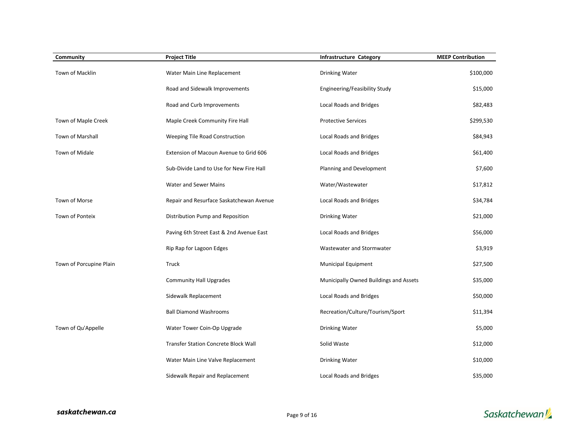| Community               | <b>Project Title</b>                     | <b>Infrastructure Category</b>         | <b>MEEP Contribution</b> |
|-------------------------|------------------------------------------|----------------------------------------|--------------------------|
| Town of Macklin         | Water Main Line Replacement              | <b>Drinking Water</b>                  | \$100,000                |
|                         | Road and Sidewalk Improvements           | Engineering/Feasibility Study          | \$15,000                 |
|                         | Road and Curb Improvements               | <b>Local Roads and Bridges</b>         | \$82,483                 |
| Town of Maple Creek     | Maple Creek Community Fire Hall          | <b>Protective Services</b>             | \$299,530                |
| Town of Marshall        | Weeping Tile Road Construction           | Local Roads and Bridges                | \$84,943                 |
| Town of Midale          | Extension of Macoun Avenue to Grid 606   | Local Roads and Bridges                | \$61,400                 |
|                         | Sub-Divide Land to Use for New Fire Hall | Planning and Development               | \$7,600                  |
|                         | Water and Sewer Mains                    | Water/Wastewater                       | \$17,812                 |
| Town of Morse           | Repair and Resurface Saskatchewan Avenue | Local Roads and Bridges                | \$34,784                 |
| <b>Town of Ponteix</b>  | Distribution Pump and Reposition         | <b>Drinking Water</b>                  | \$21,000                 |
|                         | Paving 6th Street East & 2nd Avenue East | Local Roads and Bridges                | \$56,000                 |
|                         | Rip Rap for Lagoon Edges                 | Wastewater and Stormwater              | \$3,919                  |
| Town of Porcupine Plain | Truck                                    | <b>Municipal Equipment</b>             | \$27,500                 |
|                         | <b>Community Hall Upgrades</b>           | Municipally Owned Buildings and Assets | \$35,000                 |
|                         | Sidewalk Replacement                     | Local Roads and Bridges                | \$50,000                 |
|                         | <b>Ball Diamond Washrooms</b>            | Recreation/Culture/Tourism/Sport       | \$11,394                 |
| Town of Qu'Appelle      | Water Tower Coin-Op Upgrade              | Drinking Water                         | \$5,000                  |
|                         | Transfer Station Concrete Block Wall     | Solid Waste                            | \$12,000                 |
|                         | Water Main Line Valve Replacement        | <b>Drinking Water</b>                  | \$10,000                 |
|                         | Sidewalk Repair and Replacement          | Local Roads and Bridges                | \$35,000                 |

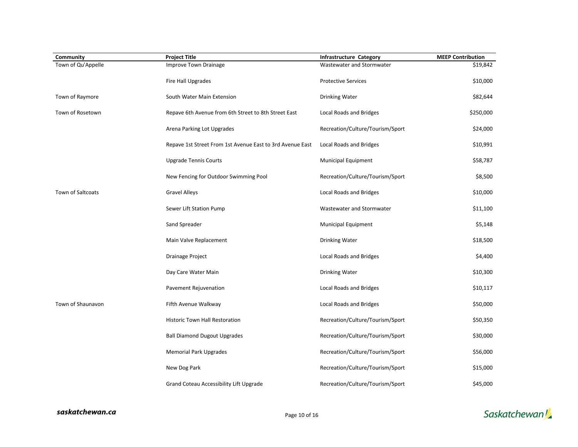| Community          | <b>Project Title</b>                                      | <b>Infrastructure Category</b>   | <b>MEEP Contribution</b> |
|--------------------|-----------------------------------------------------------|----------------------------------|--------------------------|
| Town of Qu'Appelle | Improve Town Drainage                                     | Wastewater and Stormwater        | \$19,842                 |
|                    | Fire Hall Upgrades                                        | <b>Protective Services</b>       | \$10,000                 |
| Town of Raymore    | South Water Main Extension                                | Drinking Water                   | \$82,644                 |
| Town of Rosetown   | Repave 6th Avenue from 6th Street to 8th Street East      | Local Roads and Bridges          | \$250,000                |
|                    | Arena Parking Lot Upgrades                                | Recreation/Culture/Tourism/Sport | \$24,000                 |
|                    | Repave 1st Street From 1st Avenue East to 3rd Avenue East | Local Roads and Bridges          | \$10,991                 |
|                    | <b>Upgrade Tennis Courts</b>                              | Municipal Equipment              | \$58,787                 |
|                    | New Fencing for Outdoor Swimming Pool                     | Recreation/Culture/Tourism/Sport | \$8,500                  |
| Town of Saltcoats  | <b>Gravel Alleys</b>                                      | Local Roads and Bridges          | \$10,000                 |
|                    | Sewer Lift Station Pump                                   | Wastewater and Stormwater        | \$11,100                 |
|                    | Sand Spreader                                             | Municipal Equipment              | \$5,148                  |
|                    | Main Valve Replacement                                    | Drinking Water                   | \$18,500                 |
|                    | <b>Drainage Project</b>                                   | Local Roads and Bridges          | \$4,400                  |
|                    | Day Care Water Main                                       | Drinking Water                   | \$10,300                 |
|                    | Pavement Rejuvenation                                     | Local Roads and Bridges          | \$10,117                 |
| Town of Shaunavon  | Fifth Avenue Walkway                                      | Local Roads and Bridges          | \$50,000                 |
|                    | <b>Historic Town Hall Restoration</b>                     | Recreation/Culture/Tourism/Sport | \$50,350                 |
|                    | <b>Ball Diamond Dugout Upgrades</b>                       | Recreation/Culture/Tourism/Sport | \$30,000                 |
|                    | <b>Memorial Park Upgrades</b>                             | Recreation/Culture/Tourism/Sport | \$56,000                 |
|                    | New Dog Park                                              | Recreation/Culture/Tourism/Sport | \$15,000                 |
|                    | Grand Coteau Accessibility Lift Upgrade                   | Recreation/Culture/Tourism/Sport | \$45,000                 |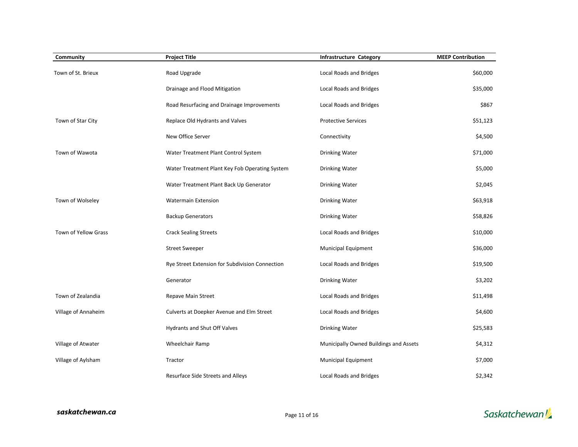| Community            | <b>Project Title</b>                            | <b>Infrastructure Category</b>         | <b>MEEP Contribution</b> |
|----------------------|-------------------------------------------------|----------------------------------------|--------------------------|
| Town of St. Brieux   | Road Upgrade                                    | Local Roads and Bridges                | \$60,000                 |
|                      | Drainage and Flood Mitigation                   | Local Roads and Bridges                | \$35,000                 |
|                      | Road Resurfacing and Drainage Improvements      | Local Roads and Bridges                | \$867                    |
| Town of Star City    | Replace Old Hydrants and Valves                 | <b>Protective Services</b>             | \$51,123                 |
|                      | New Office Server                               | Connectivity                           | \$4,500                  |
| Town of Wawota       | Water Treatment Plant Control System            | Drinking Water                         | \$71,000                 |
|                      | Water Treatment Plant Key Fob Operating System  | Drinking Water                         | \$5,000                  |
|                      | Water Treatment Plant Back Up Generator         | Drinking Water                         | \$2,045                  |
| Town of Wolseley     | <b>Watermain Extension</b>                      | Drinking Water                         | \$63,918                 |
|                      | <b>Backup Generators</b>                        | Drinking Water                         | \$58,826                 |
| Town of Yellow Grass | <b>Crack Sealing Streets</b>                    | Local Roads and Bridges                | \$10,000                 |
|                      | <b>Street Sweeper</b>                           | Municipal Equipment                    | \$36,000                 |
|                      | Rye Street Extension for Subdivision Connection | Local Roads and Bridges                | \$19,500                 |
|                      | Generator                                       | Drinking Water                         | \$3,202                  |
| Town of Zealandia    | Repave Main Street                              | Local Roads and Bridges                | \$11,498                 |
| Village of Annaheim  | Culverts at Doepker Avenue and Elm Street       | Local Roads and Bridges                | \$4,600                  |
|                      | Hydrants and Shut Off Valves                    | <b>Drinking Water</b>                  | \$25,583                 |
| Village of Atwater   | Wheelchair Ramp                                 | Municipally Owned Buildings and Assets | \$4,312                  |
| Village of Aylsham   | Tractor                                         | Municipal Equipment                    | \$7,000                  |
|                      | Resurface Side Streets and Alleys               | Local Roads and Bridges                | \$2,342                  |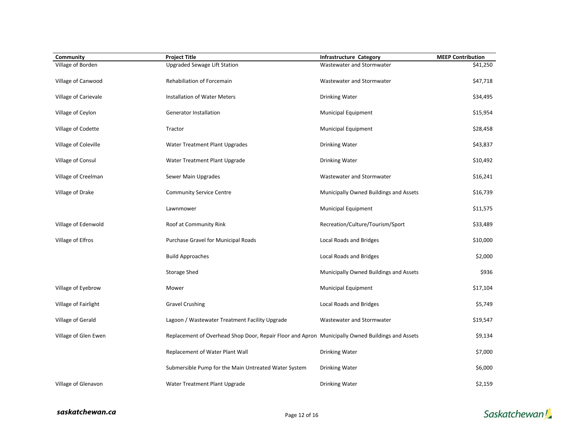| Community            | <b>Project Title</b>                                                                             | <b>Infrastructure Category</b>         | <b>MEEP Contribution</b> |
|----------------------|--------------------------------------------------------------------------------------------------|----------------------------------------|--------------------------|
| Village of Borden    | Upgraded Sewage Lift Station                                                                     | Wastewater and Stormwater              | \$41,250                 |
| Village of Canwood   | Rehabiliation of Forcemain                                                                       | Wastewater and Stormwater              | \$47,718                 |
| Village of Carievale | Installation of Water Meters                                                                     | Drinking Water                         | \$34,495                 |
| Village of Ceylon    | <b>Generator Installation</b>                                                                    | Municipal Equipment                    | \$15,954                 |
| Village of Codette   | Tractor                                                                                          | Municipal Equipment                    | \$28,458                 |
| Village of Coleville | Water Treatment Plant Upgrades                                                                   | <b>Drinking Water</b>                  | \$43,837                 |
| Village of Consul    | Water Treatment Plant Upgrade                                                                    | Drinking Water                         | \$10,492                 |
| Village of Creelman  | Sewer Main Upgrades                                                                              | Wastewater and Stormwater              | \$16,241                 |
| Village of Drake     | <b>Community Service Centre</b>                                                                  | Municipally Owned Buildings and Assets | \$16,739                 |
|                      | Lawnmower                                                                                        | Municipal Equipment                    | \$11,575                 |
| Village of Edenwold  | Roof at Community Rink                                                                           | Recreation/Culture/Tourism/Sport       | \$33,489                 |
| Village of Elfros    | Purchase Gravel for Municipal Roads                                                              | Local Roads and Bridges                | \$10,000                 |
|                      | <b>Build Approaches</b>                                                                          | Local Roads and Bridges                | \$2,000                  |
|                      | Storage Shed                                                                                     | Municipally Owned Buildings and Assets | \$936                    |
| Village of Eyebrow   | Mower                                                                                            | <b>Municipal Equipment</b>             | \$17,104                 |
| Village of Fairlight | <b>Gravel Crushing</b>                                                                           | Local Roads and Bridges                | \$5,749                  |
| Village of Gerald    | Lagoon / Wastewater Treatment Facility Upgrade                                                   | Wastewater and Stormwater              | \$19,547                 |
| Village of Glen Ewen | Replacement of Overhead Shop Door, Repair Floor and Apron Municipally Owned Buildings and Assets |                                        | \$9,134                  |
|                      | Replacement of Water Plant Wall                                                                  | <b>Drinking Water</b>                  | \$7,000                  |
|                      | Submersible Pump for the Main Untreated Water System                                             | Drinking Water                         | \$6,000                  |
| Village of Glenavon  | Water Treatment Plant Upgrade                                                                    | <b>Drinking Water</b>                  | \$2,159                  |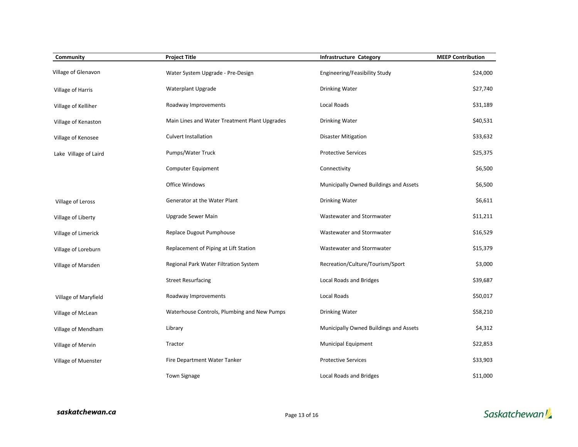| Community             | <b>Project Title</b>                          | <b>Infrastructure Category</b>         | <b>MEEP Contribution</b> |
|-----------------------|-----------------------------------------------|----------------------------------------|--------------------------|
| Village of Glenavon   | Water System Upgrade - Pre-Design             | Engineering/Feasibility Study          | \$24,000                 |
| Village of Harris     | Waterplant Upgrade                            | Drinking Water                         | \$27,740                 |
| Village of Kelliher   | Roadway Improvements                          | Local Roads                            | \$31,189                 |
| Village of Kenaston   | Main Lines and Water Treatment Plant Upgrades | Drinking Water                         | \$40,531                 |
| Village of Kenosee    | Culvert Installation                          | <b>Disaster Mitigation</b>             | \$33,632                 |
| Lake Village of Laird | Pumps/Water Truck                             | <b>Protective Services</b>             | \$25,375                 |
|                       | Computer Equipment                            | Connectivity                           | \$6,500                  |
|                       | Office Windows                                | Municipally Owned Buildings and Assets | \$6,500                  |
| Village of Leross     | Generator at the Water Plant                  | Drinking Water                         | \$6,611                  |
| Village of Liberty    | Upgrade Sewer Main                            | Wastewater and Stormwater              | \$11,211                 |
| Village of Limerick   | Replace Dugout Pumphouse                      | Wastewater and Stormwater              | \$16,529                 |
| Village of Loreburn   | Replacement of Piping at Lift Station         | Wastewater and Stormwater              | \$15,379                 |
| Village of Marsden    | Regional Park Water Filtration System         | Recreation/Culture/Tourism/Sport       | \$3,000                  |
|                       | <b>Street Resurfacing</b>                     | Local Roads and Bridges                | \$39,687                 |
| Village of Maryfield  | Roadway Improvements                          | Local Roads                            | \$50,017                 |
| Village of McLean     | Waterhouse Controls, Plumbing and New Pumps   | Drinking Water                         | \$58,210                 |
| Village of Mendham    | Library                                       | Municipally Owned Buildings and Assets | \$4,312                  |
| Village of Mervin     | Tractor                                       | <b>Municipal Equipment</b>             | \$22,853                 |
| Village of Muenster   | Fire Department Water Tanker                  | <b>Protective Services</b>             | \$33,903                 |
|                       | <b>Town Signage</b>                           | Local Roads and Bridges                | \$11,000                 |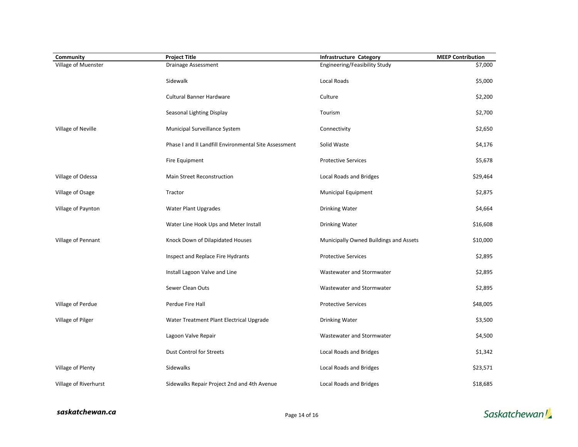| Community             | <b>Project Title</b>                                  | Infrastructure Category                | <b>MEEP Contribution</b> |
|-----------------------|-------------------------------------------------------|----------------------------------------|--------------------------|
| Village of Muenster   | <b>Drainage Assessment</b>                            | Engineering/Feasibility Study          | \$7,000                  |
|                       | Sidewalk                                              | Local Roads                            | \$5,000                  |
|                       | <b>Cultural Banner Hardware</b>                       | Culture                                | \$2,200                  |
|                       | Seasonal Lighting Display                             | Tourism                                | \$2,700                  |
| Village of Neville    | Municipal Surveillance System                         | Connectivity                           | \$2,650                  |
|                       | Phase I and II Landfill Environmental Site Assessment | Solid Waste                            | \$4,176                  |
|                       | Fire Equipment                                        | <b>Protective Services</b>             | \$5,678                  |
| Village of Odessa     | Main Street Reconstruction                            | Local Roads and Bridges                | \$29,464                 |
| Village of Osage      | Tractor                                               | Municipal Equipment                    | \$2,875                  |
| Village of Paynton    | Water Plant Upgrades                                  | Drinking Water                         | \$4,664                  |
|                       | Water Line Hook Ups and Meter Install                 | <b>Drinking Water</b>                  | \$16,608                 |
| Village of Pennant    | Knock Down of Dilapidated Houses                      | Municipally Owned Buildings and Assets | \$10,000                 |
|                       | Inspect and Replace Fire Hydrants                     | <b>Protective Services</b>             | \$2,895                  |
|                       | Install Lagoon Valve and Line                         | Wastewater and Stormwater              | \$2,895                  |
|                       | Sewer Clean Outs                                      | Wastewater and Stormwater              | \$2,895                  |
| Village of Perdue     | Perdue Fire Hall                                      | <b>Protective Services</b>             | \$48,005                 |
| Village of Pilger     | Water Treatment Plant Electrical Upgrade              | <b>Drinking Water</b>                  | \$3,500                  |
|                       | Lagoon Valve Repair                                   | Wastewater and Stormwater              | \$4,500                  |
|                       | <b>Dust Control for Streets</b>                       | Local Roads and Bridges                | \$1,342                  |
| Village of Plenty     | Sidewalks                                             | Local Roads and Bridges                | \$23,571                 |
| Village of Riverhurst | Sidewalks Repair Project 2nd and 4th Avenue           | Local Roads and Bridges                | \$18,685                 |

saskatchewan.ca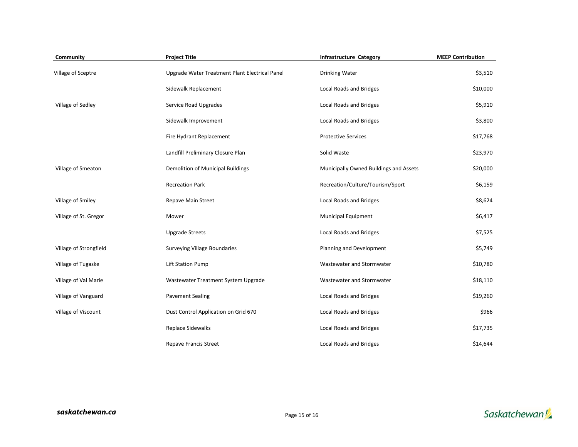| Community              | <b>Project Title</b>                           | <b>Infrastructure Category</b>         | <b>MEEP Contribution</b> |
|------------------------|------------------------------------------------|----------------------------------------|--------------------------|
| Village of Sceptre     | Upgrade Water Treatment Plant Electrical Panel | <b>Drinking Water</b>                  | \$3,510                  |
|                        | Sidewalk Replacement                           | Local Roads and Bridges                | \$10,000                 |
| Village of Sedley      | Service Road Upgrades                          | Local Roads and Bridges                | \$5,910                  |
|                        | Sidewalk Improvement                           | <b>Local Roads and Bridges</b>         | \$3,800                  |
|                        | Fire Hydrant Replacement                       | <b>Protective Services</b>             | \$17,768                 |
|                        | Landfill Preliminary Closure Plan              | Solid Waste                            | \$23,970                 |
| Village of Smeaton     | Demolition of Municipal Buildings              | Municipally Owned Buildings and Assets | \$20,000                 |
|                        | <b>Recreation Park</b>                         | Recreation/Culture/Tourism/Sport       | \$6,159                  |
| Village of Smiley      | Repave Main Street                             | Local Roads and Bridges                | \$8,624                  |
| Village of St. Gregor  | Mower                                          | <b>Municipal Equipment</b>             | \$6,417                  |
|                        | <b>Upgrade Streets</b>                         | Local Roads and Bridges                | \$7,525                  |
| Village of Strongfield | <b>Surveying Village Boundaries</b>            | Planning and Development               | \$5,749                  |
| Village of Tugaske     | <b>Lift Station Pump</b>                       | Wastewater and Stormwater              | \$10,780                 |
| Village of Val Marie   | Wastewater Treatment System Upgrade            | Wastewater and Stormwater              | \$18,110                 |
| Village of Vanguard    | <b>Pavement Sealing</b>                        | Local Roads and Bridges                | \$19,260                 |
| Village of Viscount    | Dust Control Application on Grid 670           | Local Roads and Bridges                | \$966                    |
|                        | Replace Sidewalks                              | Local Roads and Bridges                | \$17,735                 |
|                        | <b>Repave Francis Street</b>                   | Local Roads and Bridges                | \$14,644                 |